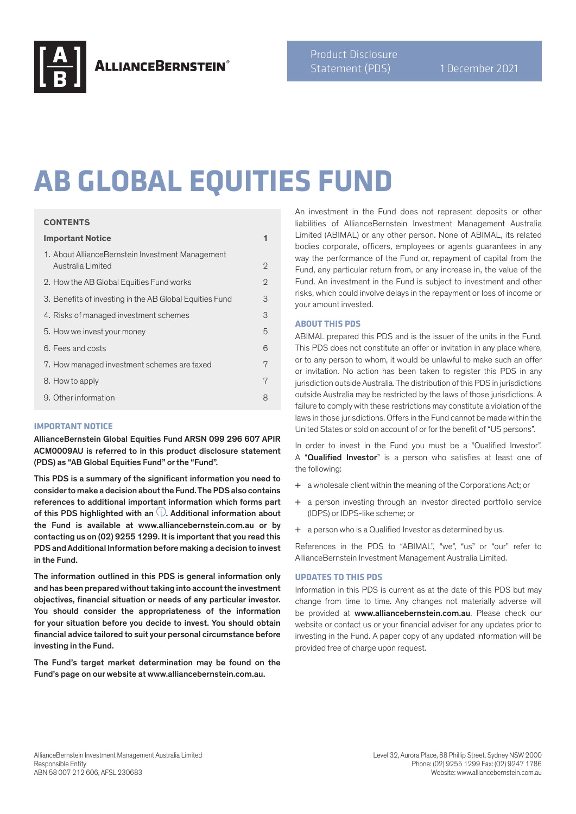

# **AB GLOBAL EQUITIES FUND**

#### **CONTENTS**

| <b>Important Notice</b>                                               |                |
|-----------------------------------------------------------------------|----------------|
| 1. About AllianceBernstein Investment Management<br>Australia Limited | $\mathfrak{D}$ |
| 2. How the AB Global Equities Fund works                              | $\mathfrak{D}$ |
| 3. Benefits of investing in the AB Global Equities Fund               | 3              |
| 4. Risks of managed investment schemes                                | 3              |
| 5. How we invest your money                                           | 5              |
| 6. Fees and costs                                                     | 6              |
| 7. How managed investment schemes are taxed                           | 7              |
| 8. How to apply                                                       | 7              |
| 9. Other information                                                  | 8              |

### **IMPORTANT NOTICE**

AllianceBernstein Global Equities Fund ARSN 099 296 607 APIR ACM0009AU is referred to in this product disclosure statement (PDS) as "AB Global Equities Fund" or the "Fund".

This PDS is a summary of the significant information you need to consider to make a decision about the Fund. The PDS also contains references to additional important information which forms part of this PDS highlighted with an  $(i)$ . Additional information about the Fund is available at www.alliancebernstein.com.au or by contacting us on (02) 9255 1299. It is important that you read this PDS and Additional Information before making a decision to invest in the Fund.

The information outlined in this PDS is general information only and has been prepared without taking into account the investment objectives, financial situation or needs of any particular investor. You should consider the appropriateness of the information for your situation before you decide to invest. You should obtain financial advice tailored to suit your personal circumstance before investing in the Fund.

The Fund's target market determination may be found on the Fund's page on our website at www.alliancebernstein.com.au.

An investment in the Fund does not represent deposits or other liabilities of AllianceBernstein Investment Management Australia Limited (ABIMAL) or any other person. None of ABIMAL, its related bodies corporate, officers, employees or agents guarantees in any way the performance of the Fund or, repayment of capital from the Fund, any particular return from, or any increase in, the value of the Fund. An investment in the Fund is subject to investment and other risks, which could involve delays in the repayment or loss of income or your amount invested.

## **ABOUT THIS PDS**

ABIMAL prepared this PDS and is the issuer of the units in the Fund. This PDS does not constitute an offer or invitation in any place where, or to any person to whom, it would be unlawful to make such an offer or invitation. No action has been taken to register this PDS in any jurisdiction outside Australia. The distribution of this PDS in jurisdictions outside Australia may be restricted by the laws of those jurisdictions. A failure to comply with these restrictions may constitute a violation of the laws in those jurisdictions. Offers in the Fund cannot be made within the United States or sold on account of or for the benefit of "US persons".

In order to invest in the Fund you must be a "Qualified Investor". A "Qualified Investor" is a person who satisfies at least one of the following:

- + a wholesale client within the meaning of the Corporations Act; or
- + a person investing through an investor directed portfolio service (IDPS) or IDPS-like scheme; or
- + a person who is a Qualified Investor as determined by us.

References in the PDS to "ABIMAL", "we", "us" or "our" refer to AllianceBernstein Investment Management Australia Limited.

### **UPDATES TO THIS PDS**

Information in this PDS is current as at the date of this PDS but may change from time to time. Any changes not materially adverse will be provided at www.alliancebernstein.com.au. Please check our website or contact us or your financial adviser for any updates prior to investing in the Fund. A paper copy of any updated information will be provided free of charge upon request.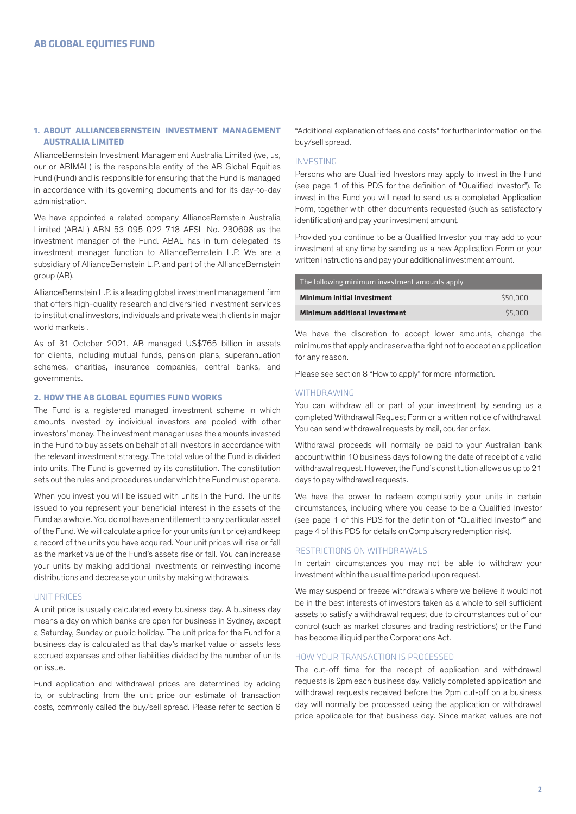## **1. ABOUT ALLIANCEBERNSTEIN INVESTMENT MANAGEMENT AUSTRALIA LIMITED**

AllianceBernstein Investment Management Australia Limited (we, us, our or ABIMAL) is the responsible entity of the AB Global Equities Fund (Fund) and is responsible for ensuring that the Fund is managed in accordance with its governing documents and for its day-to-day administration.

We have appointed a related company AllianceBernstein Australia Limited (ABAL) ABN 53 095 022 718 AFSL No. 230698 as the investment manager of the Fund. ABAL has in turn delegated its investment manager function to AllianceBernstein L.P. We are a subsidiary of AllianceBernstein L.P. and part of the AllianceBernstein group (AB).

AllianceBernstein L.P. is a leading global investment management firm that offers high-quality research and diversified investment services to institutional investors, individuals and private wealth clients in major world markets .

As of 31 October 2021, AB managed US\$765 billion in assets for clients, including mutual funds, pension plans, superannuation schemes, charities, insurance companies, central banks, and governments.

### **2. HOW THE AB GLOBAL EQUITIES FUND WORKS**

The Fund is a registered managed investment scheme in which amounts invested by individual investors are pooled with other investors' money. The investment manager uses the amounts invested in the Fund to buy assets on behalf of all investors in accordance with the relevant investment strategy. The total value of the Fund is divided into units. The Fund is governed by its constitution. The constitution sets out the rules and procedures under which the Fund must operate.

When you invest you will be issued with units in the Fund. The units issued to you represent your beneficial interest in the assets of the Fund as a whole. You do not have an entitlement to any particular asset of the Fund. We will calculate a price for your units (unit price) and keep a record of the units you have acquired. Your unit prices will rise or fall as the market value of the Fund's assets rise or fall. You can increase your units by making additional investments or reinvesting income distributions and decrease your units by making withdrawals.

#### UNIT PRICES

A unit price is usually calculated every business day. A business day means a day on which banks are open for business in Sydney, except a Saturday, Sunday or public holiday. The unit price for the Fund for a business day is calculated as that day's market value of assets less accrued expenses and other liabilities divided by the number of units on issue.

Fund application and withdrawal prices are determined by adding to, or subtracting from the unit price our estimate of transaction costs, commonly called the buy/sell spread. Please refer to section 6 "Additional explanation of fees and costs" for further information on the buy/sell spread.

## INVESTING

Persons who are Qualified Investors may apply to invest in the Fund (see page 1 of this PDS for the definition of "Qualified Investor"). To invest in the Fund you will need to send us a completed Application Form, together with other documents requested (such as satisfactory identification) and pay your investment amount.

Provided you continue to be a Qualified Investor you may add to your investment at any time by sending us a new Application Form or your written instructions and pay your additional investment amount.

| The following minimum investment amounts apply |          |  |
|------------------------------------------------|----------|--|
| Minimum initial investment                     | \$50.000 |  |
| Minimum additional investment                  | \$5,000  |  |

We have the discretion to accept lower amounts, change the minimums that apply and reserve the right not to accept an application for any reason.

Please see section 8 "How to apply" for more information.

#### **WITHDRAWING**

You can withdraw all or part of your investment by sending us a completed Withdrawal Request Form or a written notice of withdrawal. You can send withdrawal requests by mail, courier or fax.

Withdrawal proceeds will normally be paid to your Australian bank account within 10 business days following the date of receipt of a valid withdrawal request. However, the Fund's constitution allows us up to 21 days to pay withdrawal requests.

We have the power to redeem compulsorily your units in certain circumstances, including where you cease to be a Qualified Investor (see page 1 of this PDS for the definition of "Qualified Investor" and page 4 of this PDS for details on Compulsory redemption risk).

#### RESTRICTIONS ON WITHDRAWALS

In certain circumstances you may not be able to withdraw your investment within the usual time period upon request.

We may suspend or freeze withdrawals where we believe it would not be in the best interests of investors taken as a whole to sell sufficient assets to satisfy a withdrawal request due to circumstances out of our control (such as market closures and trading restrictions) or the Fund has become illiquid per the Corporations Act.

#### HOW YOUR TRANSACTION IS PROCESSED

The cut-off time for the receipt of application and withdrawal requests is 2pm each business day. Validly completed application and withdrawal requests received before the 2pm cut-off on a business day will normally be processed using the application or withdrawal price applicable for that business day. Since market values are not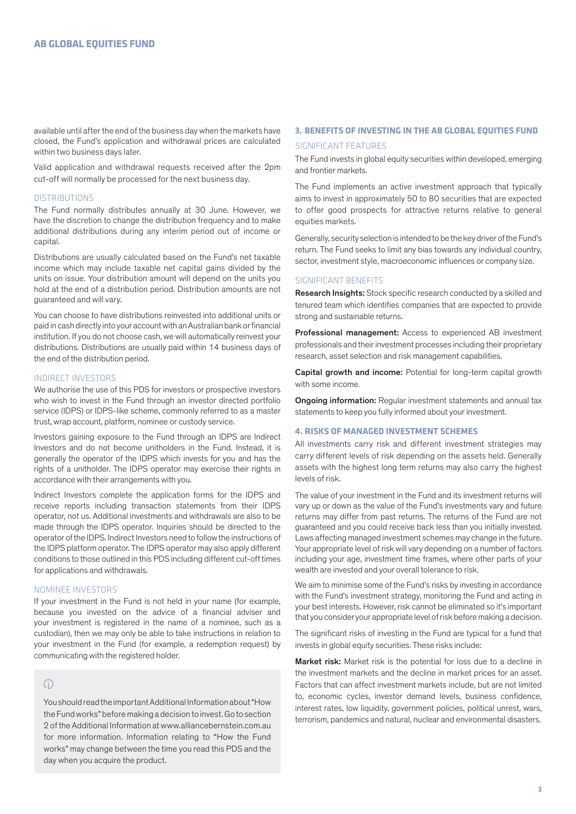available until after the end of the business day when the markets have closed, the Fund's application and withdrawal prices are calculated within two business days later.

Valid application and withdrawal requests received after the 2pm cut-off will normally be processed for the next business day.

#### **DISTRIBUTIONS**

The Fund normally distributes annually at 30 June. However, we have the discretion to change the distribution frequency and to make additional distributions during any interim period out of income or capital.

Distributions are usually calculated based on the Fund's net taxable income which may include taxable net capital gains divided by the units on issue. Your distribution amount will depend on the units you hold at the end of a distribution period. Distribution amounts are not guaranteed and will vary.

You can choose to have distributions reinvested into additional units or paid in cash directly into your account with an Australian bank or financial institution. If you do not choose cash, we will automatically reinvest your distributions. Distributions are usually paid within 14 business days of the end of the distribution period.

## INDIRECT INVESTORS

We authorise the use of this PDS for investors or prospective investors who wish to invest in the Fund through an investor directed portfolio service (IDPS) or IDPS-like scheme, commonly referred to as a master trust, wrap account, platform, nominee or custody service.

Investors gaining exposure to the Fund through an IDPS are Indirect Investors and do not become unitholders in the Fund. Instead, it is generally the operator of the IDPS which invests for you and has the rights of a unitholder. The IDPS operator may exercise their rights in accordance with their arrangements with you.

Indirect Investors complete the application forms for the IDPS and receive reports including transaction statements from their IDPS operator, not us. Additional investments and withdrawals are also to be made through the IDPS operator. Inquiries should be directed to the operator of the IDPS. Indirect Investors need to follow the instructions of the IDPS platform operator. The IDPS operator may also apply different conditions to those outlined in this PDS including different cut-off times for applications and withdrawals.

## NOMINEE INVESTORS

If your investment in the Fund is not held in your name (for example, because you invested on the advice of a financial adviser and your investment is registered in the name of a nominee, such as a custodian), then we may only be able to take instructions in relation to your investment in the Fund (for example, a redemption request) by communicating with the registered holder.

# $\bigcirc$

You should read the important Additional Information about "How the Fund works" before making a decision to invest. Go to section 2 of the Additional Information at www.alliancebernstein.com.au for more information. Information relating to "How the Fund works" may change between the time you read this PDS and the day when you acquire the product.

# **3. BENEFITS OF INVESTING IN THE AB GLOBAL EQUITIES FUND** SIGNIFICANT FEATURES

The Fund invests in global equity securities within developed, emerging and frontier markets.

The Fund implements an active investment approach that typically aims to invest in approximately 50 to 80 securities that are expected to offer good prospects for attractive returns relative to general equities markets.

Generally, security selection is intended to be the key driver of the Fund's return. The Fund seeks to limit any bias towards any individual country, sector, investment style, macroeconomic influences or company size.

## SIGNIFICANT BENEFITS

Research Insights: Stock specific research conducted by a skilled and tenured team which identifies companies that are expected to provide strong and sustainable returns.

Professional management: Access to experienced AB investment professionals and their investment processes including their proprietary research, asset selection and risk management capabilities.

Capital growth and income: Potential for long-term capital growth with some income.

**Ongoing information:** Regular investment statements and annual tax statements to keep you fully informed about your investment.

#### **4. RISKS OF MANAGED INVESTMENT SCHEMES**

All investments carry risk and different investment strategies may carry different levels of risk depending on the assets held. Generally assets with the highest long term returns may also carry the highest levels of risk.

The value of your investment in the Fund and its investment returns will vary up or down as the value of the Fund's investments vary and future returns may differ from past returns. The returns of the Fund are not guaranteed and you could receive back less than you initially invested. Laws affecting managed investment schemes may change in the future. Your appropriate level of risk will vary depending on a number of factors including your age, investment time frames, where other parts of your wealth are invested and your overall tolerance to risk.

We aim to minimise some of the Fund's risks by investing in accordance with the Fund's investment strategy, monitoring the Fund and acting in your best interests. However, risk cannot be eliminated so it's important that you consider your appropriate level of risk before making a decision.

The significant risks of investing in the Fund are typical for a fund that invests in global equity securities. These risks include:

Market risk: Market risk is the potential for loss due to a decline in the investment markets and the decline in market prices for an asset. Factors that can affect investment markets include, but are not limited to, economic cycles, investor demand levels, business confidence, interest rates, low liquidity, government policies, political unrest, wars, terrorism, pandemics and natural, nuclear and environmental disasters.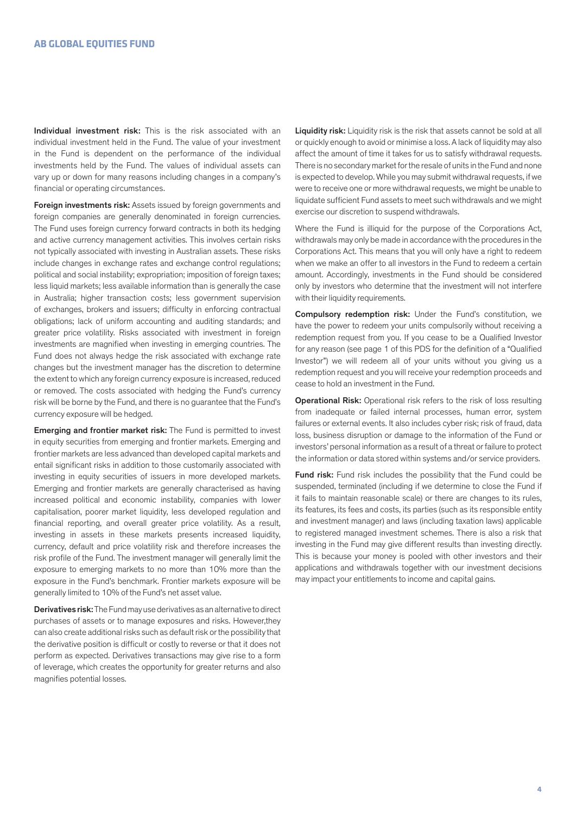Individual investment risk: This is the risk associated with an individual investment held in the Fund. The value of your investment in the Fund is dependent on the performance of the individual investments held by the Fund. The values of individual assets can vary up or down for many reasons including changes in a company's financial or operating circumstances.

Foreign investments risk: Assets issued by foreign governments and foreign companies are generally denominated in foreign currencies. The Fund uses foreign currency forward contracts in both its hedging and active currency management activities. This involves certain risks not typically associated with investing in Australian assets. These risks include changes in exchange rates and exchange control regulations; political and social instability; expropriation; imposition of foreign taxes; less liquid markets; less available information than is generally the case in Australia; higher transaction costs; less government supervision of exchanges, brokers and issuers; difficulty in enforcing contractual obligations; lack of uniform accounting and auditing standards; and greater price volatility. Risks associated with investment in foreign investments are magnified when investing in emerging countries. The Fund does not always hedge the risk associated with exchange rate changes but the investment manager has the discretion to determine the extent to which any foreign currency exposure is increased, reduced or removed. The costs associated with hedging the Fund's currency risk will be borne by the Fund, and there is no guarantee that the Fund's currency exposure will be hedged.

Emerging and frontier market risk: The Fund is permitted to invest in equity securities from emerging and frontier markets. Emerging and frontier markets are less advanced than developed capital markets and entail significant risks in addition to those customarily associated with investing in equity securities of issuers in more developed markets. Emerging and frontier markets are generally characterised as having increased political and economic instability, companies with lower capitalisation, poorer market liquidity, less developed regulation and financial reporting, and overall greater price volatility. As a result, investing in assets in these markets presents increased liquidity, currency, default and price volatility risk and therefore increases the risk profile of the Fund. The investment manager will generally limit the exposure to emerging markets to no more than 10% more than the exposure in the Fund's benchmark. Frontier markets exposure will be generally limited to 10% of the Fund's net asset value.

Derivatives risk: The Fund may use derivatives as an alternative to direct purchases of assets or to manage exposures and risks. However,they can also create additional risks such as default risk or the possibility that the derivative position is difficult or costly to reverse or that it does not perform as expected. Derivatives transactions may give rise to a form of leverage, which creates the opportunity for greater returns and also magnifies potential losses.

Liquidity risk: Liquidity risk is the risk that assets cannot be sold at all or quickly enough to avoid or minimise a loss. A lack of liquidity may also affect the amount of time it takes for us to satisfy withdrawal requests. There is no secondary market for the resale of units in the Fund and none is expected to develop. While you may submit withdrawal requests, if we were to receive one or more withdrawal requests, we might be unable to liquidate sufficient Fund assets to meet such withdrawals and we might exercise our discretion to suspend withdrawals.

Where the Fund is illiquid for the purpose of the Corporations Act, withdrawals may only be made in accordance with the procedures in the Corporations Act. This means that you will only have a right to redeem when we make an offer to all investors in the Fund to redeem a certain amount. Accordingly, investments in the Fund should be considered only by investors who determine that the investment will not interfere with their liquidity requirements.

Compulsory redemption risk: Under the Fund's constitution, we have the power to redeem your units compulsorily without receiving a redemption request from you. If you cease to be a Qualified Investor for any reason (see page 1 of this PDS for the definition of a "Qualified Investor") we will redeem all of your units without you giving us a redemption request and you will receive your redemption proceeds and cease to hold an investment in the Fund.

**Operational Risk:** Operational risk refers to the risk of loss resulting from inadequate or failed internal processes, human error, system failures or external events. It also includes cyber risk; risk of fraud, data loss, business disruption or damage to the information of the Fund or investors' personal information as a result of a threat or failure to protect the information or data stored within systems and/or service providers.

Fund risk: Fund risk includes the possibility that the Fund could be suspended, terminated (including if we determine to close the Fund if it fails to maintain reasonable scale) or there are changes to its rules, its features, its fees and costs, its parties (such as its responsible entity and investment manager) and laws (including taxation laws) applicable to registered managed investment schemes. There is also a risk that investing in the Fund may give different results than investing directly. This is because your money is pooled with other investors and their applications and withdrawals together with our investment decisions may impact your entitlements to income and capital gains.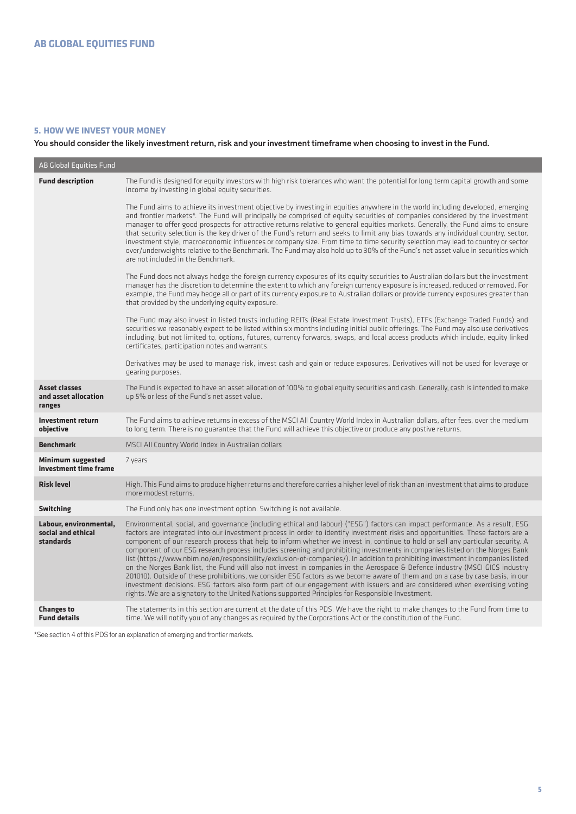## **5. HOW WE INVEST YOUR MONEY**

You should consider the likely investment return, risk and your investment timeframe when choosing to invest in the Fund.

| <b>AB Global Equities Fund</b>                            |                                                                                                                                                                                                                                                                                                                                                                                                                                                                                                                                                                                                                                                                                                                                                                                                                                                                                                                                                                                                                                                                                                                                                                          |
|-----------------------------------------------------------|--------------------------------------------------------------------------------------------------------------------------------------------------------------------------------------------------------------------------------------------------------------------------------------------------------------------------------------------------------------------------------------------------------------------------------------------------------------------------------------------------------------------------------------------------------------------------------------------------------------------------------------------------------------------------------------------------------------------------------------------------------------------------------------------------------------------------------------------------------------------------------------------------------------------------------------------------------------------------------------------------------------------------------------------------------------------------------------------------------------------------------------------------------------------------|
| <b>Fund description</b>                                   | The Fund is designed for equity investors with high risk tolerances who want the potential for long term capital growth and some<br>income by investing in global equity securities.                                                                                                                                                                                                                                                                                                                                                                                                                                                                                                                                                                                                                                                                                                                                                                                                                                                                                                                                                                                     |
|                                                           | The Fund aims to achieve its investment objective by investing in equities anywhere in the world including developed, emerging<br>and frontier markets*. The Fund will principally be comprised of equity securities of companies considered by the investment<br>manager to offer good prospects for attractive returns relative to general equities markets. Generally, the Fund aims to ensure<br>that security selection is the key driver of the Fund's return and seeks to limit any bias towards any individual country, sector,<br>investment style, macroeconomic influences or company size. From time to time security selection may lead to country or sector<br>over/underweights relative to the Benchmark. The Fund may also hold up to 30% of the Fund's net asset value in securities which<br>are not included in the Benchmark.                                                                                                                                                                                                                                                                                                                       |
|                                                           | The Fund does not always hedge the foreign currency exposures of its equity securities to Australian dollars but the investment<br>manager has the discretion to determine the extent to which any foreign currency exposure is increased, reduced or removed. For<br>example, the Fund may hedge all or part of its currency exposure to Australian dollars or provide currency exposures greater than<br>that provided by the underlying equity exposure.                                                                                                                                                                                                                                                                                                                                                                                                                                                                                                                                                                                                                                                                                                              |
|                                                           | The Fund may also invest in listed trusts including REITs (Real Estate Investment Trusts), ETFs (Exchange Traded Funds) and<br>securities we reasonably expect to be listed within six months including initial public offerings. The Fund may also use derivatives<br>including, but not limited to, options, futures, currency forwards, swaps, and local access products which include, equity linked<br>certificates, participation notes and warrants.                                                                                                                                                                                                                                                                                                                                                                                                                                                                                                                                                                                                                                                                                                              |
|                                                           | Derivatives may be used to manage risk, invest cash and gain or reduce exposures. Derivatives will not be used for leverage or<br>gearing purposes.                                                                                                                                                                                                                                                                                                                                                                                                                                                                                                                                                                                                                                                                                                                                                                                                                                                                                                                                                                                                                      |
| <b>Asset classes</b><br>and asset allocation<br>ranges    | The Fund is expected to have an asset allocation of 100% to global equity securities and cash. Generally, cash is intended to make<br>up 5% or less of the Fund's net asset value.                                                                                                                                                                                                                                                                                                                                                                                                                                                                                                                                                                                                                                                                                                                                                                                                                                                                                                                                                                                       |
| Investment return<br>objective                            | The Fund aims to achieve returns in excess of the MSCI All Country World Index in Australian dollars, after fees, over the medium<br>to long term. There is no guarantee that the Fund will achieve this objective or produce any postive returns.                                                                                                                                                                                                                                                                                                                                                                                                                                                                                                                                                                                                                                                                                                                                                                                                                                                                                                                       |
| <b>Benchmark</b>                                          | MSCI All Country World Index in Australian dollars                                                                                                                                                                                                                                                                                                                                                                                                                                                                                                                                                                                                                                                                                                                                                                                                                                                                                                                                                                                                                                                                                                                       |
| <b>Minimum suggested</b><br>investment time frame         | 7 years                                                                                                                                                                                                                                                                                                                                                                                                                                                                                                                                                                                                                                                                                                                                                                                                                                                                                                                                                                                                                                                                                                                                                                  |
| <b>Risk level</b>                                         | High. This Fund aims to produce higher returns and therefore carries a higher level of risk than an investment that aims to produce<br>more modest returns.                                                                                                                                                                                                                                                                                                                                                                                                                                                                                                                                                                                                                                                                                                                                                                                                                                                                                                                                                                                                              |
| <b>Switching</b>                                          | The Fund only has one investment option. Switching is not available.                                                                                                                                                                                                                                                                                                                                                                                                                                                                                                                                                                                                                                                                                                                                                                                                                                                                                                                                                                                                                                                                                                     |
| Labour, environmental,<br>social and ethical<br>standards | Environmental, social, and governance (including ethical and labour) ("ESG") factors can impact performance. As a result, ESG<br>factors are integrated into our investment process in order to identify investment risks and opportunities. These factors are a<br>component of our research process that help to inform whether we invest in, continue to hold or sell any particular security. A<br>component of our ESG research process includes screening and prohibiting investments in companies listed on the Norges Bank<br>list (https://www.nbim.no/en/responsibility/exclusion-of-companies/). In addition to prohibiting investment in companies listed<br>on the Norges Bank list, the Fund will also not invest in companies in the Aerospace & Defence industry (MSCI GICS industry<br>201010). Outside of these prohibitions, we consider ESG factors as we become aware of them and on a case by case basis, in our<br>investment decisions. ESG factors also form part of our engagement with issuers and are considered when exercising voting<br>rights. We are a signatory to the United Nations supported Principles for Responsible Investment. |
| <b>Changes to</b><br><b>Fund details</b>                  | The statements in this section are current at the date of this PDS. We have the right to make changes to the Fund from time to<br>time. We will notify you of any changes as required by the Corporations Act or the constitution of the Fund.                                                                                                                                                                                                                                                                                                                                                                                                                                                                                                                                                                                                                                                                                                                                                                                                                                                                                                                           |

\*See section 4 of this PDS for an explanation of emerging and frontier markets.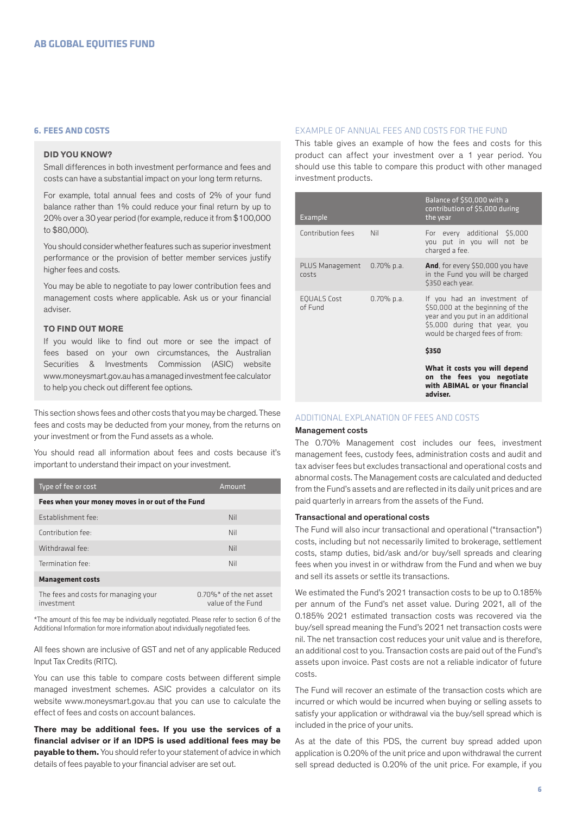## **6. FEES AND COSTS**

## **DID YOU KNOW?**

Small differences in both investment performance and fees and costs can have a substantial impact on your long term returns.

For example, total annual fees and costs of 2% of your fund balance rather than 1% could reduce your final return by up to 20% over a 30 year period (for example, reduce it from \$100,000 to \$80,000).

You should consider whether features such as superior investment performance or the provision of better member services justify higher fees and costs.

You may be able to negotiate to pay lower contribution fees and management costs where applicable. Ask us or your financial adviser.

## **TO FIND OUT MORE**

If you would like to find out more or see the impact of fees based on your own circumstances, the Australian Securities & Investments Commission (ASIC) website www.moneysmart.gov.au has a managed investment fee calculator to help you check out different fee options.

This section shows fees and other costs that you may be charged. These fees and costs may be deducted from your money, from the returns on your investment or from the Fund assets as a whole.

You should read all information about fees and costs because it's important to understand their impact on your investment.

| Type of fee or cost                                | Amount                                                      |  |
|----------------------------------------------------|-------------------------------------------------------------|--|
| Fees when your money moves in or out of the Fund   |                                                             |  |
| Establishment fee:                                 | Nil                                                         |  |
| Contribution fee:                                  | Nil                                                         |  |
| Withdrawal fee:                                    | Nil                                                         |  |
| Termination fee:                                   | Nil                                                         |  |
| <b>Management costs</b>                            |                                                             |  |
| The fees and costs for managing your<br>investment | $0.70\%$ <sup>*</sup> of the net asset<br>value of the Fund |  |

\*The amount of this fee may be individually negotiated. Please refer to section 6 of the Additional Information for more information about individually negotiated fees.

All fees shown are inclusive of GST and net of any applicable Reduced Input Tax Credits (RITC).

You can use this table to compare costs between different simple managed investment schemes. ASIC provides a calculator on its website www.moneysmart.gov.au that you can use to calculate the effect of fees and costs on account balances.

**There may be additional fees. If you use the services of a financial adviser or if an IDPS is used additional fees may be payable to them.** You should refer to your statement of advice in which details of fees payable to your financial adviser are set out.

#### EXAMPLE OF ANNUAL FEES AND COSTS FOR THE FUND

This table gives an example of how the fees and costs for this product can affect your investment over a 1 year period. You should use this table to compare this product with other managed investment products.

| Example                       |               | Balance of \$50,000 with a<br>contribution of \$5,000 during<br>the year                                                                                                |
|-------------------------------|---------------|-------------------------------------------------------------------------------------------------------------------------------------------------------------------------|
| Contribution fees             | Nil           | For every additional \$5,000<br>you put in you will not be<br>charged a fee.                                                                                            |
| PLUS Management<br>costs      | $0.70\%$ p.a. | <b>And</b> , for every \$50,000 you have<br>in the Fund you will be charged<br>\$350 each year.                                                                         |
| <b>EQUALS Cost</b><br>of Fund | $0.70\%$ p.a. | If you had an investment of<br>\$50,000 at the beginning of the<br>year and you put in an additional<br>\$5,000 during that year, you<br>would be charged fees of from: |
|                               |               | \$350                                                                                                                                                                   |
|                               |               | What it costs you will depend<br>on the fees you negotiate<br>with ABIMAL or your financial<br>adviser.                                                                 |

## ADDITIONAL EXPLANATION OF FEES AND COSTS

#### Management costs

The 0.70% Management cost includes our fees, investment management fees, custody fees, administration costs and audit and tax adviser fees but excludes transactional and operational costs and abnormal costs. The Management costs are calculated and deducted from the Fund's assets and are reflected in its daily unit prices and are paid quarterly in arrears from the assets of the Fund.

#### Transactional and operational costs

The Fund will also incur transactional and operational ("transaction") costs, including but not necessarily limited to brokerage, settlement costs, stamp duties, bid/ask and/or buy/sell spreads and clearing fees when you invest in or withdraw from the Fund and when we buy and sell its assets or settle its transactions.

We estimated the Fund's 2021 transaction costs to be up to 0.185% per annum of the Fund's net asset value. During 2021, all of the 0.185% 2021 estimated transaction costs was recovered via the buy/sell spread meaning the Fund's 2021 net transaction costs were nil. The net transaction cost reduces your unit value and is therefore, an additional cost to you. Transaction costs are paid out of the Fund's assets upon invoice. Past costs are not a reliable indicator of future costs.

The Fund will recover an estimate of the transaction costs which are incurred or which would be incurred when buying or selling assets to satisfy your application or withdrawal via the buy/sell spread which is included in the price of your units.

As at the date of this PDS, the current buy spread added upon application is 0.20% of the unit price and upon withdrawal the current sell spread deducted is 0.20% of the unit price. For example, if you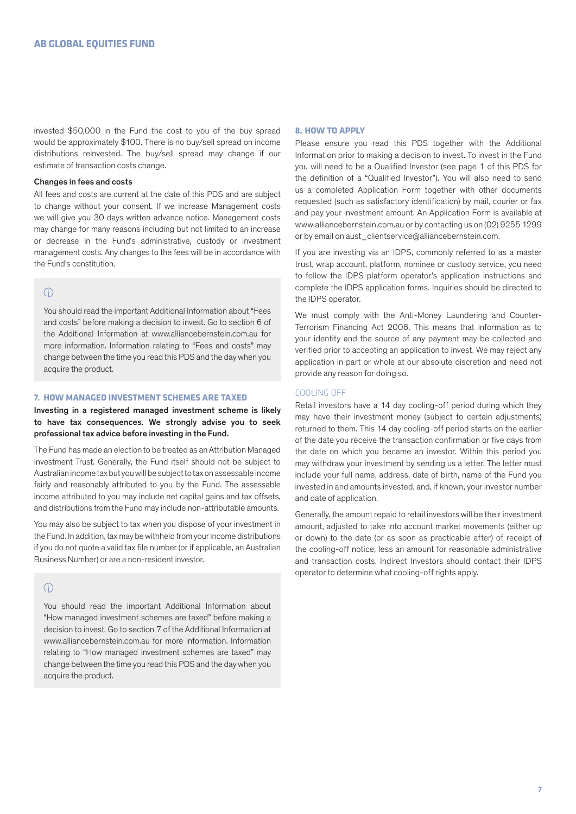invested \$50,000 in the Fund the cost to you of the buy spread would be approximately \$100. There is no buy/sell spread on income distributions reinvested. The buy/sell spread may change if our estimate of transaction costs change.

#### Changes in fees and costs

All fees and costs are current at the date of this PDS and are subject to change without your consent. If we increase Management costs we will give you 30 days written advance notice. Management costs may change for many reasons including but not limited to an increase or decrease in the Fund's administrative, custody or investment management costs. Any changes to the fees will be in accordance with the Fund's constitution.

# $\bigcap$

You should read the important Additional Information about "Fees and costs" before making a decision to invest. Go to section 6 of the Additional Information at www.alliancebernstein.com.au for more information. Information relating to "Fees and costs" may change between the time you read this PDS and the day when you acquire the product.

#### **7. HOW MANAGED INVESTMENT SCHEMES ARE TAXED**

Investing in a registered managed investment scheme is likely to have tax consequences. We strongly advise you to seek professional tax advice before investing in the Fund.

The Fund has made an election to be treated as an Attribution Managed Investment Trust. Generally, the Fund itself should not be subject to Australian income tax but you will be subject to tax on assessable income fairly and reasonably attributed to you by the Fund. The assessable income attributed to you may include net capital gains and tax offsets, and distributions from the Fund may include non-attributable amounts.

You may also be subject to tax when you dispose of your investment in the Fund. In addition, tax may be withheld from your income distributions if you do not quote a valid tax file number (or if applicable, an Australian Business Number) or are a non-resident investor.

## $\bigcap$

You should read the important Additional Information about "How managed investment schemes are taxed" before making a decision to invest. Go to section 7 of the Additional Information at www.alliancebernstein.com.au for more information. Information relating to "How managed investment schemes are taxed" may change between the time you read this PDS and the day when you acquire the product.

#### **8. HOW TO APPLY**

Please ensure you read this PDS together with the Additional Information prior to making a decision to invest. To invest in the Fund you will need to be a Qualified Investor (see page 1 of this PDS for the definition of a "Qualified Investor"). You will also need to send us a completed Application Form together with other documents requested (such as satisfactory identification) by mail, courier or fax and pay your investment amount. An Application Form is available at www.alliancebernstein.com.au or by contacting us on (02) 9255 1299 or by email on aust\_clientservice@alliancebernstein.com.

If you are investing via an IDPS, commonly referred to as a master trust, wrap account, platform, nominee or custody service, you need to follow the IDPS platform operator's application instructions and complete the IDPS application forms. Inquiries should be directed to the IDPS operator.

We must comply with the Anti-Money Laundering and Counter-Terrorism Financing Act 2006. This means that information as to your identity and the source of any payment may be collected and verified prior to accepting an application to invest. We may reject any application in part or whole at our absolute discretion and need not provide any reason for doing so.

#### COOLING OFF

Retail investors have a 14 day cooling-off period during which they may have their investment money (subject to certain adjustments) returned to them. This 14 day cooling-off period starts on the earlier of the date you receive the transaction confirmation or five days from the date on which you became an investor. Within this period you may withdraw your investment by sending us a letter. The letter must include your full name, address, date of birth, name of the Fund you invested in and amounts invested, and, if known, your investor number and date of application.

Generally, the amount repaid to retail investors will be their investment amount, adjusted to take into account market movements (either up or down) to the date (or as soon as practicable after) of receipt of the cooling-off notice, less an amount for reasonable administrative and transaction costs. Indirect Investors should contact their IDPS operator to determine what cooling-off rights apply.